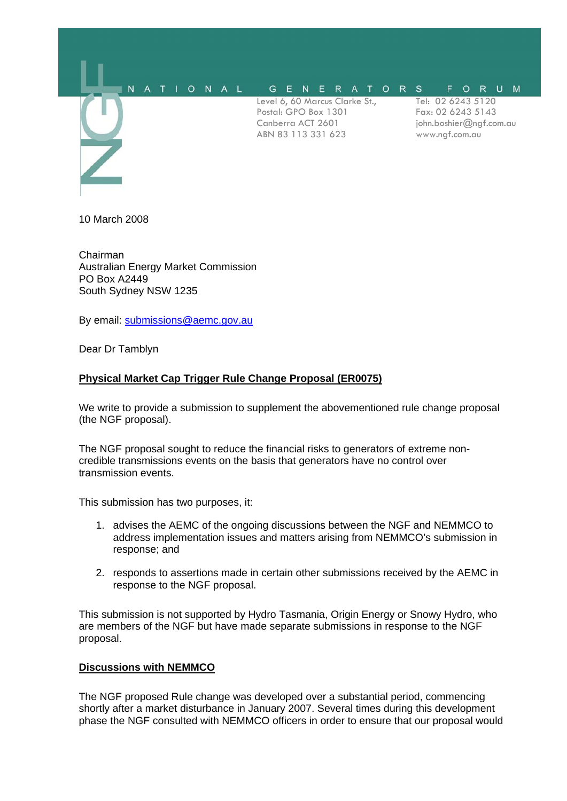

10 March 2008

Chairman Australian Energy Market Commission PO Box A2449 South Sydney NSW 1235

By email: submissions@aemc.gov.au

Dear Dr Tamblyn

## **Physical Market Cap Trigger Rule Change Proposal (ER0075)**

We write to provide a submission to supplement the abovementioned rule change proposal (the NGF proposal).

The NGF proposal sought to reduce the financial risks to generators of extreme noncredible transmissions events on the basis that generators have no control over transmission events.

This submission has two purposes, it:

- 1. advises the AEMC of the ongoing discussions between the NGF and NEMMCO to address implementation issues and matters arising from NEMMCO's submission in response; and
- 2. responds to assertions made in certain other submissions received by the AEMC in response to the NGF proposal.

This submission is not supported by Hydro Tasmania, Origin Energy or Snowy Hydro, who are members of the NGF but have made separate submissions in response to the NGF proposal.

#### **Discussions with NEMMCO**

The NGF proposed Rule change was developed over a substantial period, commencing shortly after a market disturbance in January 2007. Several times during this development phase the NGF consulted with NEMMCO officers in order to ensure that our proposal would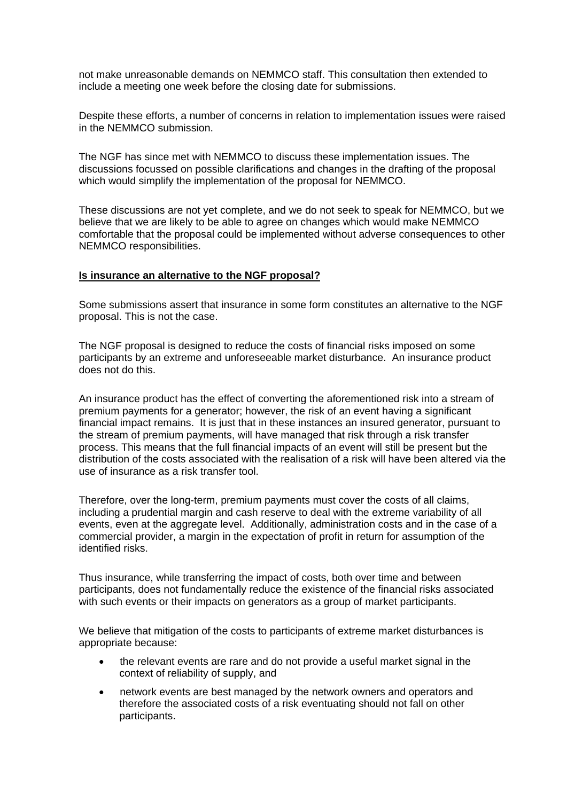not make unreasonable demands on NEMMCO staff. This consultation then extended to include a meeting one week before the closing date for submissions.

Despite these efforts, a number of concerns in relation to implementation issues were raised in the NEMMCO submission.

The NGF has since met with NEMMCO to discuss these implementation issues. The discussions focussed on possible clarifications and changes in the drafting of the proposal which would simplify the implementation of the proposal for NEMMCO.

These discussions are not yet complete, and we do not seek to speak for NEMMCO, but we believe that we are likely to be able to agree on changes which would make NEMMCO comfortable that the proposal could be implemented without adverse consequences to other NEMMCO responsibilities.

#### **Is insurance an alternative to the NGF proposal?**

Some submissions assert that insurance in some form constitutes an alternative to the NGF proposal. This is not the case.

The NGF proposal is designed to reduce the costs of financial risks imposed on some participants by an extreme and unforeseeable market disturbance. An insurance product does not do this.

An insurance product has the effect of converting the aforementioned risk into a stream of premium payments for a generator; however, the risk of an event having a significant financial impact remains. It is just that in these instances an insured generator, pursuant to the stream of premium payments, will have managed that risk through a risk transfer process. This means that the full financial impacts of an event will still be present but the distribution of the costs associated with the realisation of a risk will have been altered via the use of insurance as a risk transfer tool.

Therefore, over the long-term, premium payments must cover the costs of all claims, including a prudential margin and cash reserve to deal with the extreme variability of all events, even at the aggregate level. Additionally, administration costs and in the case of a commercial provider, a margin in the expectation of profit in return for assumption of the identified risks.

Thus insurance, while transferring the impact of costs, both over time and between participants, does not fundamentally reduce the existence of the financial risks associated with such events or their impacts on generators as a group of market participants.

We believe that mitigation of the costs to participants of extreme market disturbances is appropriate because:

- the relevant events are rare and do not provide a useful market signal in the context of reliability of supply, and
- network events are best managed by the network owners and operators and therefore the associated costs of a risk eventuating should not fall on other participants.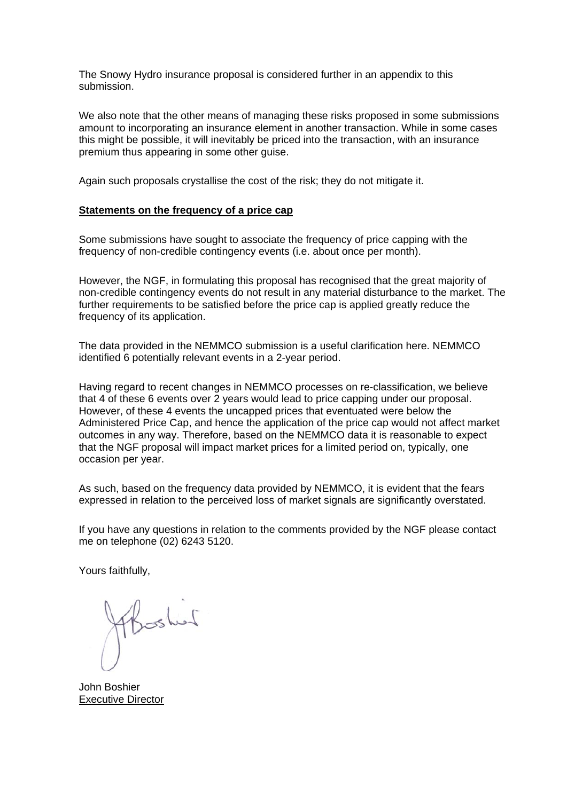The Snowy Hydro insurance proposal is considered further in an appendix to this submission.

We also note that the other means of managing these risks proposed in some submissions amount to incorporating an insurance element in another transaction. While in some cases this might be possible, it will inevitably be priced into the transaction, with an insurance premium thus appearing in some other guise.

Again such proposals crystallise the cost of the risk; they do not mitigate it.

## **Statements on the frequency of a price cap**

Some submissions have sought to associate the frequency of price capping with the frequency of non-credible contingency events (i.e. about once per month).

However, the NGF, in formulating this proposal has recognised that the great majority of non-credible contingency events do not result in any material disturbance to the market. The further requirements to be satisfied before the price cap is applied greatly reduce the frequency of its application.

The data provided in the NEMMCO submission is a useful clarification here. NEMMCO identified 6 potentially relevant events in a 2-year period.

Having regard to recent changes in NEMMCO processes on re-classification, we believe that 4 of these 6 events over 2 years would lead to price capping under our proposal. However, of these 4 events the uncapped prices that eventuated were below the Administered Price Cap, and hence the application of the price cap would not affect market outcomes in any way. Therefore, based on the NEMMCO data it is reasonable to expect that the NGF proposal will impact market prices for a limited period on, typically, one occasion per year.

As such, based on the frequency data provided by NEMMCO, it is evident that the fears expressed in relation to the perceived loss of market signals are significantly overstated.

If you have any questions in relation to the comments provided by the NGF please contact me on telephone (02) 6243 5120.

Yours faithfully,

Phostier

John Boshier Executive Director